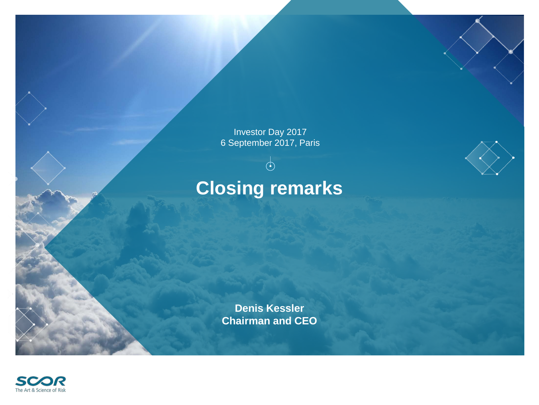Investor Day 2017 6 September 2017, Paris

 $\overline{\varphi}$ 

## **Closing remarks**



**Denis Kessler Chairman and CEO**